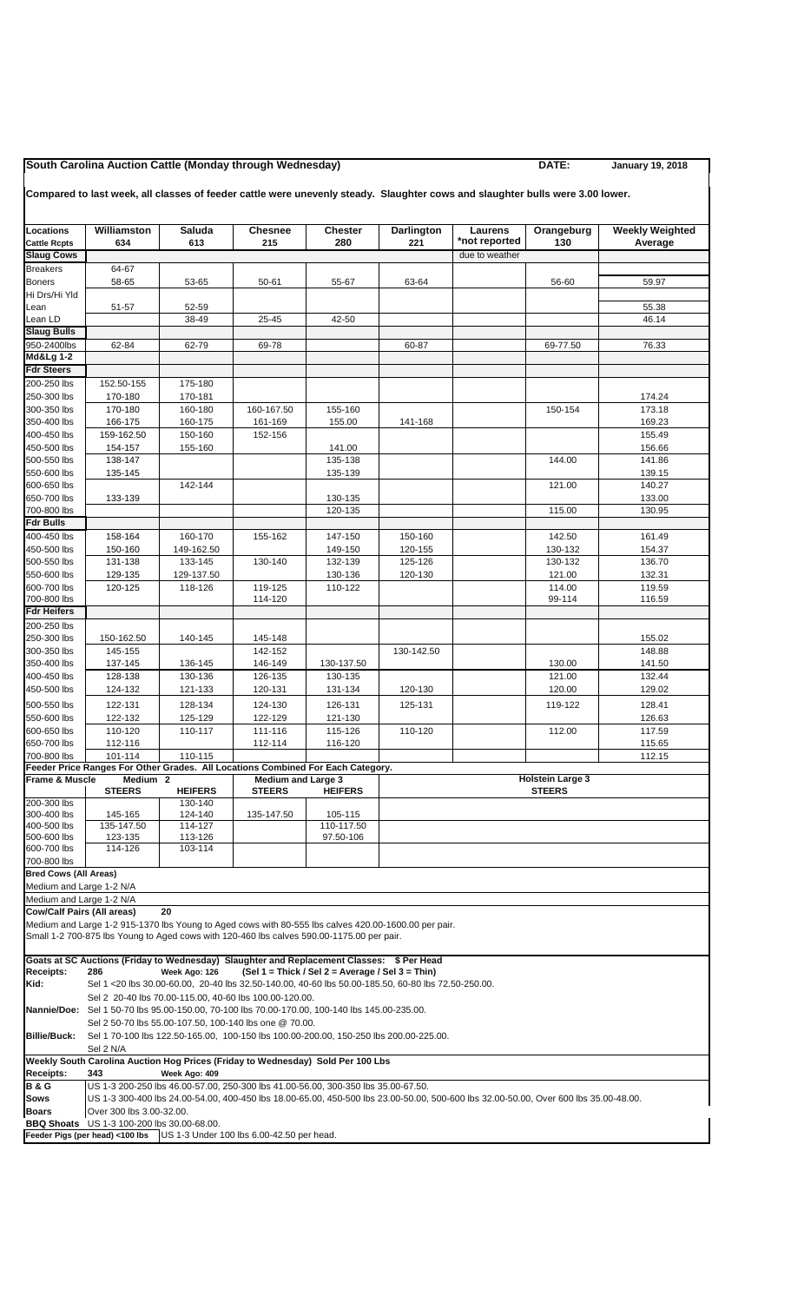## **South Carolina Auction Cattle (Monday through Wednesday) DATE: January 19, 2018**

## **Compared to last week, all classes of feeder cattle were unevenly steady. Slaughter cows and slaughter bulls were 3.00 lower.**

| <b>Locations</b><br><b>Cattle Rcpts</b>                                                      | Williamston<br>634                                                                                                                                                                                                        | Saluda<br>613                                                                                      | <b>Chesnee</b><br>215 | <b>Chester</b><br>280                            | Darlington<br>221 | Laurens<br>*not reported | Orangeburg<br>130 | <b>Weekly Weighted</b><br>Average |  |  |
|----------------------------------------------------------------------------------------------|---------------------------------------------------------------------------------------------------------------------------------------------------------------------------------------------------------------------------|----------------------------------------------------------------------------------------------------|-----------------------|--------------------------------------------------|-------------------|--------------------------|-------------------|-----------------------------------|--|--|
| <b>Slaug Cows</b>                                                                            |                                                                                                                                                                                                                           |                                                                                                    |                       |                                                  |                   | due to weather           |                   |                                   |  |  |
| <b>Breakers</b>                                                                              | 64-67                                                                                                                                                                                                                     |                                                                                                    |                       |                                                  |                   |                          |                   |                                   |  |  |
| <b>Boners</b><br>Hi Drs/Hi Yld                                                               | 58-65                                                                                                                                                                                                                     | 53-65                                                                                              | 50-61                 | 55-67                                            | 63-64             |                          | 56-60             | 59.97                             |  |  |
| Lean                                                                                         | 51-57                                                                                                                                                                                                                     | 52-59                                                                                              |                       |                                                  |                   |                          |                   | 55.38                             |  |  |
| Lean LD                                                                                      |                                                                                                                                                                                                                           | 38-49                                                                                              | 25-45                 | 42-50                                            |                   |                          |                   | 46.14                             |  |  |
| <b>Slaug Bulls</b>                                                                           |                                                                                                                                                                                                                           |                                                                                                    |                       |                                                  |                   |                          |                   |                                   |  |  |
| 950-2400lbs                                                                                  | 62-84                                                                                                                                                                                                                     | 62-79                                                                                              | 69-78                 |                                                  | 60-87             |                          | 69-77.50          | 76.33                             |  |  |
| <b>Md&amp;Lg 1-2</b>                                                                         |                                                                                                                                                                                                                           |                                                                                                    |                       |                                                  |                   |                          |                   |                                   |  |  |
| <b>Fdr Steers</b>                                                                            |                                                                                                                                                                                                                           |                                                                                                    |                       |                                                  |                   |                          |                   |                                   |  |  |
| 200-250 lbs                                                                                  | 152.50-155                                                                                                                                                                                                                | 175-180                                                                                            |                       |                                                  |                   |                          |                   |                                   |  |  |
| 250-300 lbs                                                                                  | 170-180                                                                                                                                                                                                                   | 170-181                                                                                            |                       |                                                  |                   |                          |                   | 174.24                            |  |  |
| 300-350 lbs                                                                                  | 170-180                                                                                                                                                                                                                   | 160-180                                                                                            | 160-167.50            | 155-160                                          |                   |                          | 150-154           | 173.18                            |  |  |
| 350-400 lbs                                                                                  | 166-175                                                                                                                                                                                                                   | 160-175                                                                                            | 161-169               | 155.00                                           | 141-168           |                          |                   | 169.23                            |  |  |
| 400-450 lbs                                                                                  | 159-162.50                                                                                                                                                                                                                | 150-160                                                                                            | 152-156               |                                                  |                   |                          |                   | 155.49                            |  |  |
| 450-500 lbs                                                                                  | 154-157                                                                                                                                                                                                                   | 155-160                                                                                            |                       | 141.00                                           |                   |                          |                   | 156.66                            |  |  |
| 500-550 lbs                                                                                  | 138-147                                                                                                                                                                                                                   |                                                                                                    |                       | 135-138                                          |                   |                          | 144.00            | 141.86                            |  |  |
| 550-600 lbs                                                                                  | 135-145                                                                                                                                                                                                                   |                                                                                                    |                       | 135-139                                          |                   |                          |                   | 139.15                            |  |  |
| 600-650 lbs<br>650-700 lbs                                                                   |                                                                                                                                                                                                                           | 142-144                                                                                            |                       |                                                  |                   |                          | 121.00            | 140.27                            |  |  |
| 700-800 lbs                                                                                  | 133-139                                                                                                                                                                                                                   |                                                                                                    |                       | 130-135<br>120-135                               |                   |                          | 115.00            | 133.00<br>130.95                  |  |  |
| <b>Fdr Bulls</b>                                                                             |                                                                                                                                                                                                                           |                                                                                                    |                       |                                                  |                   |                          |                   |                                   |  |  |
| 400-450 lbs                                                                                  | 158-164                                                                                                                                                                                                                   | 160-170                                                                                            | 155-162               | 147-150                                          | 150-160           |                          | 142.50            | 161.49                            |  |  |
| 450-500 lbs                                                                                  | 150-160                                                                                                                                                                                                                   | 149-162.50                                                                                         |                       | 149-150                                          | 120-155           |                          | 130-132           | 154.37                            |  |  |
| 500-550 lbs                                                                                  | 131-138                                                                                                                                                                                                                   | 133-145                                                                                            | 130-140               | 132-139                                          | 125-126           |                          | 130-132           | 136.70                            |  |  |
| 550-600 lbs                                                                                  | 129-135                                                                                                                                                                                                                   | 129-137.50                                                                                         |                       | 130-136                                          | 120-130           |                          | 121.00            | 132.31                            |  |  |
| 600-700 lbs                                                                                  | 120-125                                                                                                                                                                                                                   | 118-126                                                                                            | 119-125               | 110-122                                          |                   |                          | 114.00            | 119.59                            |  |  |
| 700-800 lbs                                                                                  |                                                                                                                                                                                                                           |                                                                                                    | 114-120               |                                                  |                   |                          | 99-114            | 116.59                            |  |  |
| <b>Fdr Heifers</b>                                                                           |                                                                                                                                                                                                                           |                                                                                                    |                       |                                                  |                   |                          |                   |                                   |  |  |
| 200-250 lbs                                                                                  |                                                                                                                                                                                                                           |                                                                                                    |                       |                                                  |                   |                          |                   |                                   |  |  |
| 250-300 lbs                                                                                  | 150-162.50                                                                                                                                                                                                                | 140-145                                                                                            | 145-148               |                                                  |                   |                          |                   | 155.02                            |  |  |
| 300-350 lbs                                                                                  | 145-155                                                                                                                                                                                                                   |                                                                                                    | 142-152               |                                                  | 130-142.50        |                          |                   | 148.88                            |  |  |
| 350-400 lbs                                                                                  | 137-145                                                                                                                                                                                                                   | 136-145                                                                                            | 146-149               | 130-137.50                                       |                   |                          | 130.00            | 141.50                            |  |  |
| 400-450 lbs                                                                                  | 128-138                                                                                                                                                                                                                   | 130-136                                                                                            | 126-135               | 130-135                                          |                   |                          | 121.00            | 132.44                            |  |  |
| 450-500 lbs                                                                                  | 124-132                                                                                                                                                                                                                   | 121-133                                                                                            | 120-131               | 131-134                                          | 120-130           |                          | 120.00            | 129.02                            |  |  |
| 500-550 lbs                                                                                  | 122-131                                                                                                                                                                                                                   | 128-134                                                                                            | 124-130               | 126-131                                          | 125-131           |                          | 119-122           | 128.41                            |  |  |
| 550-600 lbs                                                                                  | 122-132                                                                                                                                                                                                                   | 125-129                                                                                            | 122-129               | 121-130                                          |                   |                          |                   | 126.63                            |  |  |
| 600-650 lbs                                                                                  | 110-120                                                                                                                                                                                                                   | 110-117                                                                                            | 111-116               | 115-126                                          | 110-120           |                          | 112.00            | 117.59                            |  |  |
| 650-700 lbs                                                                                  | 112-116                                                                                                                                                                                                                   |                                                                                                    | 112-114               | 116-120                                          |                   |                          |                   | 115.65                            |  |  |
| 700-800 lbs                                                                                  | 101-114                                                                                                                                                                                                                   | 110-115                                                                                            |                       |                                                  |                   |                          |                   | 112.15                            |  |  |
| Frame & Muscle                                                                               | Feeder Price Ranges For Other Grades. All Locations Combined For Each Category.                                                                                                                                           |                                                                                                    |                       |                                                  |                   |                          |                   |                                   |  |  |
|                                                                                              | Medium <sub>2</sub><br><b>Medium and Large 3</b><br><b>Holstein Large 3</b><br><b>STEERS</b><br><b>HEIFERS</b><br><b>STEERS</b><br><b>HEIFERS</b><br><b>STEERS</b>                                                        |                                                                                                    |                       |                                                  |                   |                          |                   |                                   |  |  |
| 200-300 lbs                                                                                  |                                                                                                                                                                                                                           | 130-140                                                                                            |                       |                                                  |                   |                          |                   |                                   |  |  |
| 300-400 lbs                                                                                  | 145-165                                                                                                                                                                                                                   | 124-140                                                                                            | 135-147.50            | 105-115                                          |                   |                          |                   |                                   |  |  |
| 400-500 lbs                                                                                  | 135-147.50                                                                                                                                                                                                                | 114-127                                                                                            |                       | 110-117.50                                       |                   |                          |                   |                                   |  |  |
| 500-600 lbs                                                                                  | 123-135                                                                                                                                                                                                                   | 113-126                                                                                            |                       | 97.50-106                                        |                   |                          |                   |                                   |  |  |
| 600-700 lbs                                                                                  | 114-126                                                                                                                                                                                                                   | 103-114                                                                                            |                       |                                                  |                   |                          |                   |                                   |  |  |
| 700-800 lbs<br><b>Bred Cows (All Areas)</b>                                                  |                                                                                                                                                                                                                           |                                                                                                    |                       |                                                  |                   |                          |                   |                                   |  |  |
| Medium and Large 1-2 N/A                                                                     |                                                                                                                                                                                                                           |                                                                                                    |                       |                                                  |                   |                          |                   |                                   |  |  |
| Medium and Large 1-2 N/A                                                                     |                                                                                                                                                                                                                           |                                                                                                    |                       |                                                  |                   |                          |                   |                                   |  |  |
| <b>Cow/Calf Pairs (All areas)</b>                                                            |                                                                                                                                                                                                                           | 20                                                                                                 |                       |                                                  |                   |                          |                   |                                   |  |  |
|                                                                                              | Medium and Large 1-2 915-1370 lbs Young to Aged cows with 80-555 lbs calves 420.00-1600.00 per pair.                                                                                                                      |                                                                                                    |                       |                                                  |                   |                          |                   |                                   |  |  |
|                                                                                              | Small 1-2 700-875 lbs Young to Aged cows with 120-460 lbs calves 590.00-1175.00 per pair.                                                                                                                                 |                                                                                                    |                       |                                                  |                   |                          |                   |                                   |  |  |
|                                                                                              | Goats at SC Auctions (Friday to Wednesday) Slaughter and Replacement Classes: \$ Per Head                                                                                                                                 |                                                                                                    |                       |                                                  |                   |                          |                   |                                   |  |  |
| <b>Receipts:</b>                                                                             | 286                                                                                                                                                                                                                       | Week Ago: 126                                                                                      |                       | (Sel 1 = Thick / Sel 2 = Average / Sel 3 = Thin) |                   |                          |                   |                                   |  |  |
| Kid:                                                                                         |                                                                                                                                                                                                                           | Sel 1 <20 lbs 30.00-60.00, 20-40 lbs 32.50-140.00, 40-60 lbs 50.00-185.50, 60-80 lbs 72.50-250.00. |                       |                                                  |                   |                          |                   |                                   |  |  |
|                                                                                              |                                                                                                                                                                                                                           | Sel 2 20-40 lbs 70.00-115.00, 40-60 lbs 100.00-120.00.                                             |                       |                                                  |                   |                          |                   |                                   |  |  |
|                                                                                              | Nannie/Doe: Sel 1 50-70 lbs 95.00-150.00, 70-100 lbs 70.00-170.00, 100-140 lbs 145.00-235.00.                                                                                                                             |                                                                                                    |                       |                                                  |                   |                          |                   |                                   |  |  |
|                                                                                              |                                                                                                                                                                                                                           | Sel 2 50-70 lbs 55.00-107.50, 100-140 lbs one @ 70.00.                                             |                       |                                                  |                   |                          |                   |                                   |  |  |
| <b>Billie/Buck:</b>                                                                          | Sel 1 70-100 lbs 122.50-165.00, 100-150 lbs 100.00-200.00, 150-250 lbs 200.00-225.00.                                                                                                                                     |                                                                                                    |                       |                                                  |                   |                          |                   |                                   |  |  |
| Sel 2 N/A<br>Weekly South Carolina Auction Hog Prices (Friday to Wednesday) Sold Per 100 Lbs |                                                                                                                                                                                                                           |                                                                                                    |                       |                                                  |                   |                          |                   |                                   |  |  |
|                                                                                              |                                                                                                                                                                                                                           |                                                                                                    |                       |                                                  |                   |                          |                   |                                   |  |  |
| <b>Receipts:</b><br><b>B&amp;G</b>                                                           | 343                                                                                                                                                                                                                       | Week Ago: 409                                                                                      |                       |                                                  |                   |                          |                   |                                   |  |  |
| <b>Sows</b>                                                                                  | US 1-3 200-250 lbs 46.00-57.00, 250-300 lbs 41.00-56.00, 300-350 lbs 35.00-67.50.<br>US 1-3 300-400 lbs 24.00-54.00, 400-450 lbs 18.00-65.00, 450-500 lbs 23.00-50.00, 500-600 lbs 32.00-50.00, Over 600 lbs 35.00-48.00. |                                                                                                    |                       |                                                  |                   |                          |                   |                                   |  |  |
| <b>Boars</b>                                                                                 | Over 300 lbs 3.00-32.00.                                                                                                                                                                                                  |                                                                                                    |                       |                                                  |                   |                          |                   |                                   |  |  |
| <b>BBQ Shoats</b>                                                                            | US 1-3 100-200 lbs 30.00-68.00.                                                                                                                                                                                           |                                                                                                    |                       |                                                  |                   |                          |                   |                                   |  |  |
|                                                                                              | Feeder Pigs (per head) <100 lbs                                                                                                                                                                                           | US 1-3 Under 100 lbs 6.00-42.50 per head.                                                          |                       |                                                  |                   |                          |                   |                                   |  |  |
|                                                                                              |                                                                                                                                                                                                                           |                                                                                                    |                       |                                                  |                   |                          |                   |                                   |  |  |